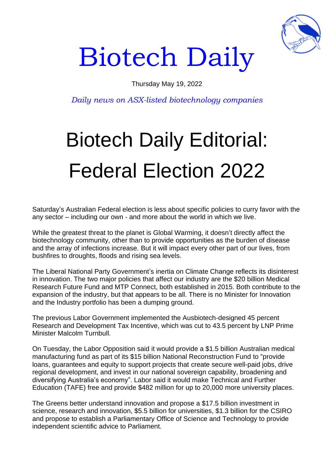

## Biotech Daily

## Thursday May 19, 2022

*Daily news on ASX-listed biotechnology companies*

## Biotech Daily Editorial: Federal Election 2022

Saturday's Australian Federal election is less about specific policies to curry favor with the any sector – including our own - and more about the world in which we live.

While the greatest threat to the planet is Global Warming, it doesn't directly affect the biotechnology community, other than to provide opportunities as the burden of disease and the array of infections increase. But it will impact every other part of our lives, from bushfires to droughts, floods and rising sea levels.

The Liberal National Party Government's inertia on Climate Change reflects its disinterest in innovation. The two major policies that affect our industry are the \$20 billion Medical Research Future Fund and MTP Connect, both established in 2015. Both contribute to the expansion of the industry, but that appears to be all. There is no Minister for Innovation and the Industry portfolio has been a dumping ground.

The previous Labor Government implemented the Ausbiotech-designed 45 percent Research and Development Tax Incentive, which was cut to 43.5 percent by LNP Prime Minister Malcolm Turnbull.

On Tuesday, the Labor Opposition said it would provide a \$1.5 billion Australian medical manufacturing fund as part of its \$15 billion National Reconstruction Fund to "provide loans, guarantees and equity to support projects that create secure well-paid jobs, drive regional development, and invest in our national sovereign capability, broadening and diversifying Australia's economy". Labor said it would make Technical and Further Education (TAFE) free and provide \$482 million for up to 20,000 more university places.

The Greens better understand innovation and propose a \$17.5 billion investment in science, research and innovation, \$5.5 billion for universities, \$1.3 billion for the CSIRO and propose to establish a Parliamentary Office of Science and Technology to provide independent scientific advice to Parliament.